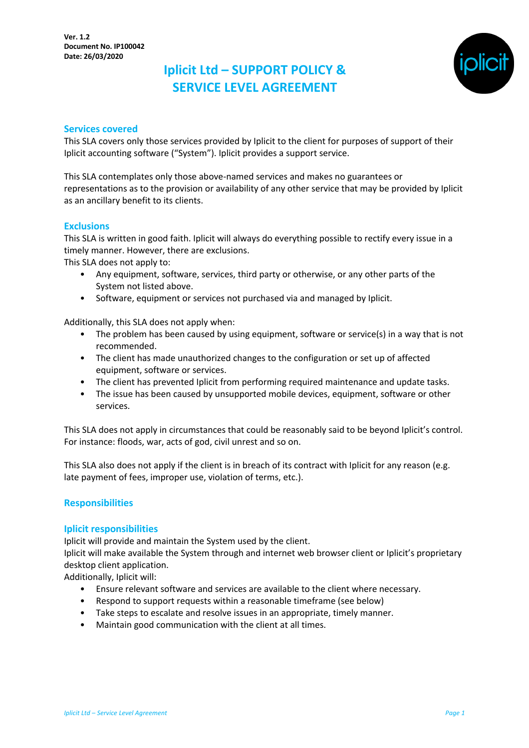

#### **Services covered**

This SLA covers only those services provided by Iplicit to the client for purposes of support of their Iplicit accounting software ("System"). Iplicit provides a support service.

This SLA contemplates only those above-named services and makes no guarantees or representations as to the provision or availability of any other service that may be provided by Iplicit as an ancillary benefit to its clients.

### **Exclusions**

This SLA is written in good faith. Iplicit will always do everything possible to rectify every issue in a timely manner. However, there are exclusions.

This SLA does not apply to:

- Any equipment, software, services, third party or otherwise, or any other parts of the System not listed above.
- Software, equipment or services not purchased via and managed by Iplicit.

Additionally, this SLA does not apply when:

- The problem has been caused by using equipment, software or service(s) in a way that is not recommended.
- The client has made unauthorized changes to the configuration or set up of affected equipment, software or services.
- The client has prevented Iplicit from performing required maintenance and update tasks.
- The issue has been caused by unsupported mobile devices, equipment, software or other services.

This SLA does not apply in circumstances that could be reasonably said to be beyond Iplicit's control. For instance: floods, war, acts of god, civil unrest and so on.

This SLA also does not apply if the client is in breach of its contract with Iplicit for any reason (e.g. late payment of fees, improper use, violation of terms, etc.).

#### **Responsibilities**

#### **Iplicit responsibilities**

Iplicit will provide and maintain the System used by the client.

Iplicit will make available the System through and internet web browser client or Iplicit's proprietary desktop client application.

Additionally, Iplicit will:

- Ensure relevant software and services are available to the client where necessary.
- Respond to support requests within a reasonable timeframe (see below)
- Take steps to escalate and resolve issues in an appropriate, timely manner.
- Maintain good communication with the client at all times.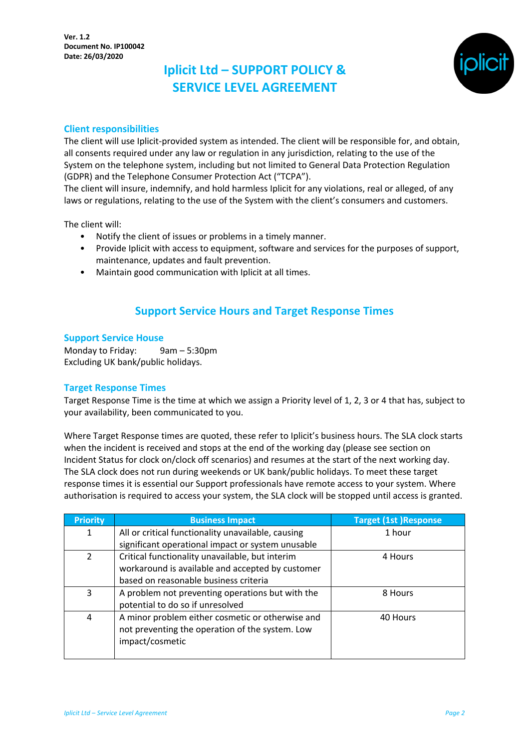

## **Client responsibilities**

The client will use Iplicit-provided system as intended. The client will be responsible for, and obtain, all consents required under any law or regulation in any jurisdiction, relating to the use of the System on the telephone system, including but not limited to General Data Protection Regulation (GDPR) and the Telephone Consumer Protection Act ("TCPA").

The client will insure, indemnify, and hold harmless Iplicit for any violations, real or alleged, of any laws or regulations, relating to the use of the System with the client's consumers and customers.

The client will:

- Notify the client of issues or problems in a timely manner.
- Provide Iplicit with access to equipment, software and services for the purposes of support, maintenance, updates and fault prevention.
- Maintain good communication with Iplicit at all times.

## **Support Service Hours and Target Response Times**

### **Support Service House**

Monday to Friday: 9am – 5:30pm Excluding UK bank/public holidays.

### **Target Response Times**

Target Response Time is the time at which we assign a Priority level of 1, 2, 3 or 4 that has, subject to your availability, been communicated to you.

Where Target Response times are quoted, these refer to Iplicit's business hours. The SLA clock starts when the incident is received and stops at the end of the working day (please see section on Incident Status for clock on/clock off scenarios) and resumes at the start of the next working day. The SLA clock does not run during weekends or UK bank/public holidays. To meet these target response times it is essential our Support professionals have remote access to your system. Where authorisation is required to access your system, the SLA clock will be stopped until access is granted.

| <b>Priority</b> | <b>Business Impact</b>                             | <b>Target (1st )Response</b> |
|-----------------|----------------------------------------------------|------------------------------|
| 1               | All or critical functionality unavailable, causing | 1 hour                       |
|                 | significant operational impact or system unusable  |                              |
| 2               | Critical functionality unavailable, but interim    | 4 Hours                      |
|                 | workaround is available and accepted by customer   |                              |
|                 | based on reasonable business criteria              |                              |
| 3               | A problem not preventing operations but with the   | 8 Hours                      |
|                 | potential to do so if unresolved                   |                              |
| 4               | A minor problem either cosmetic or otherwise and   | 40 Hours                     |
|                 | not preventing the operation of the system. Low    |                              |
|                 | impact/cosmetic                                    |                              |
|                 |                                                    |                              |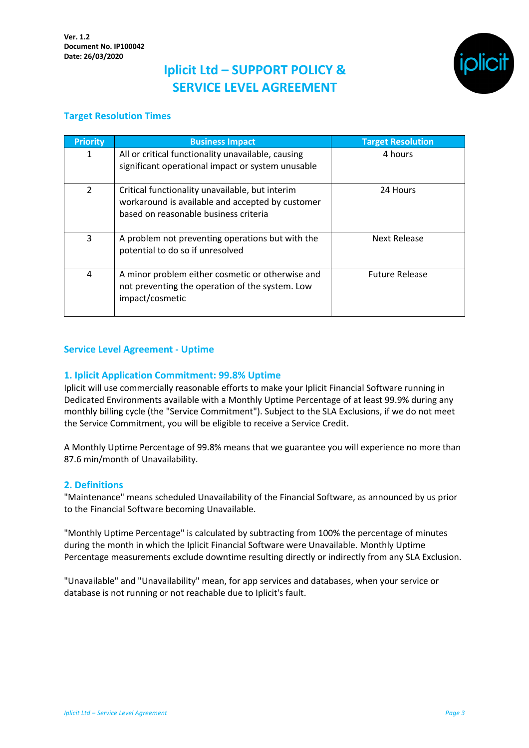

## **Target Resolution Times**

| <b>Priority</b> | <b>Business Impact</b>                                                                                                                       | <b>Target Resolution</b> |
|-----------------|----------------------------------------------------------------------------------------------------------------------------------------------|--------------------------|
| 1               | All or critical functionality unavailable, causing<br>significant operational impact or system unusable                                      | 4 hours                  |
| $\mathcal{P}$   | Critical functionality unavailable, but interim<br>workaround is available and accepted by customer<br>based on reasonable business criteria | 24 Hours                 |
| 3               | A problem not preventing operations but with the<br>potential to do so if unresolved                                                         | Next Release             |
| 4               | A minor problem either cosmetic or otherwise and<br>not preventing the operation of the system. Low<br>impact/cosmetic                       | <b>Future Release</b>    |

### **Service Level Agreement - Uptime**

### **1. Iplicit Application Commitment: 99.8% Uptime**

Iplicit will use commercially reasonable efforts to make your Iplicit Financial Software running in Dedicated Environments available with a Monthly Uptime Percentage of at least 99.9% during any monthly billing cycle (the "Service Commitment"). Subject to the SLA Exclusions, if we do not meet the Service Commitment, you will be eligible to receive a Service Credit.

A Monthly Uptime Percentage of 99.8% means that we guarantee you will experience no more than 87.6 min/month of Unavailability.

#### **2. Definitions**

"Maintenance" means scheduled Unavailability of the Financial Software, as announced by us prior to the Financial Software becoming Unavailable.

"Monthly Uptime Percentage" is calculated by subtracting from 100% the percentage of minutes during the month in which the Iplicit Financial Software were Unavailable. Monthly Uptime Percentage measurements exclude downtime resulting directly or indirectly from any SLA Exclusion.

"Unavailable" and "Unavailability" mean, for app services and databases, when your service or database is not running or not reachable due to Iplicit's fault.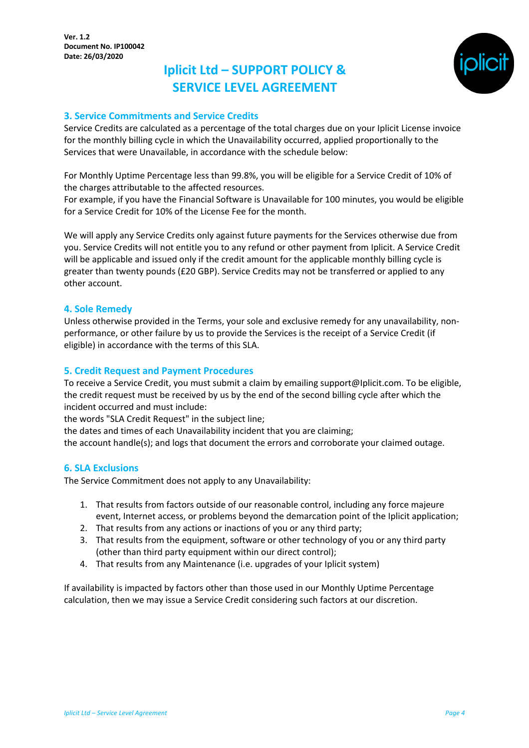

## **3. Service Commitments and Service Credits**

Service Credits are calculated as a percentage of the total charges due on your Iplicit License invoice for the monthly billing cycle in which the Unavailability occurred, applied proportionally to the Services that were Unavailable, in accordance with the schedule below:

For Monthly Uptime Percentage less than 99.8%, you will be eligible for a Service Credit of 10% of the charges attributable to the affected resources.

For example, if you have the Financial Software is Unavailable for 100 minutes, you would be eligible for a Service Credit for 10% of the License Fee for the month.

We will apply any Service Credits only against future payments for the Services otherwise due from you. Service Credits will not entitle you to any refund or other payment from Iplicit. A Service Credit will be applicable and issued only if the credit amount for the applicable monthly billing cycle is greater than twenty pounds (£20 GBP). Service Credits may not be transferred or applied to any other account.

#### **4. Sole Remedy**

Unless otherwise provided in the Terms, your sole and exclusive remedy for any unavailability, nonperformance, or other failure by us to provide the Services is the receipt of a Service Credit (if eligible) in accordance with the terms of this SLA.

### **5. Credit Request and Payment Procedures**

To receive a Service Credit, you must submit a claim by emailing support@Iplicit.com. To be eligible, the credit request must be received by us by the end of the second billing cycle after which the incident occurred and must include:

the words "SLA Credit Request" in the subject line;

the dates and times of each Unavailability incident that you are claiming;

the account handle(s); and logs that document the errors and corroborate your claimed outage.

#### **6. SLA Exclusions**

The Service Commitment does not apply to any Unavailability:

- 1. That results from factors outside of our reasonable control, including any force majeure event, Internet access, or problems beyond the demarcation point of the Iplicit application;
- 2. That results from any actions or inactions of you or any third party;
- 3. That results from the equipment, software or other technology of you or any third party (other than third party equipment within our direct control);
- 4. That results from any Maintenance (i.e. upgrades of your Iplicit system)

If availability is impacted by factors other than those used in our Monthly Uptime Percentage calculation, then we may issue a Service Credit considering such factors at our discretion.